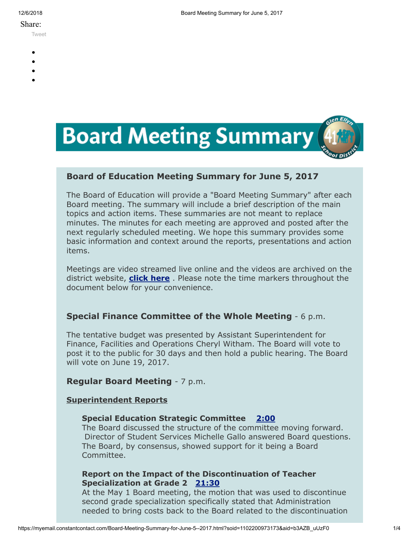#### Share:

[Tweet](https://twitter.com/intent/tweet?original_referer=https%3A%2F%2Fmyemail.constantcontact.com%2FBoard-Meeting-Summary-for-June-5--2017.html%3Fsoid%3D1102200973173%26aid%3Db3AZB_uUzF0&ref_src=twsrc%5Etfw&text=Board%20Meeting%20Summary%20for%20June%205%2C%202017&tw_p=tweetbutton&url=https%3A%2F%2Fmyemail.constantcontact.com%2FBoard-Meeting-Summary-for-June-5--2017.html%3Fsoid%3D1102200973173%26aid%3Db3AZB_uUzF0)

- 
- 
- 
- 
- 



# **Board of Education Meeting Summary for June 5, 2017**

The Board of Education will provide a "Board Meeting Summary" after each Board meeting. The summary will include a brief description of the main topics and action items. These summaries are not meant to replace minutes. The minutes for each meeting are approved and posted after the next regularly scheduled meeting. We hope this summary provides some basic information and context around the reports, presentations and action items.

Meetings are video streamed live online and the videos are archived on the district website, **[click here](http://www.d41.org/domain/463)** . Please note the time markers throughout the document below for your convenience.

# **Special Finance Committee of the Whole Meeting** - 6 p.m.

The tentative budget was presented by Assistant Superintendent for Finance, Facilities and Operations Cheryl Witham. The Board will vote to post it to the public for 30 days and then hold a public hearing. The Board will vote on June 19, 2017.

# **Regular Board Meeting** - 7 p.m.

#### **Superintendent Reports**

#### **Special Education Strategic Committee [2:00](https://www.youtube.com/watch?v=e9m8kwV9yxM&t=2m00s)**

The Board discussed the structure of the committee moving forward. Director of Student Services Michelle Gallo answered Board questions. The Board, by consensus, showed support for it being a Board Committee.

# **Report on the Impact of the Discontinuation of Teacher Specialization at Grade 2 [21:30](https://www.youtube.com/watch?v=e9m8kwV9yxM&t=21m30s)**

At the May 1 Board meeting, the motion that was used to discontinue second grade specialization specifically stated that Administration needed to bring costs back to the Board related to the discontinuation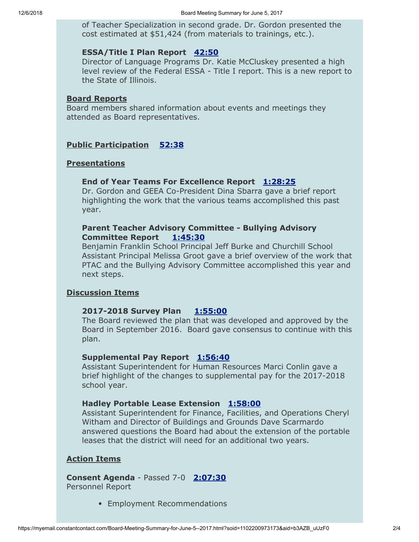of Teacher Specialization in second grade. Dr. Gordon presented the cost estimated at \$51,424 (from materials to trainings, etc.).

## **ESSA/Title I Plan Report [42:50](https://www.youtube.com/watch?v=e9m8kwV9yxM&t=42m50s)**

Director of Language Programs Dr. Katie McCluskey presented a high level review of the Federal ESSA - Title I report. This is a new report to the State of Illinois.

#### **Board Reports**

Board members shared information about events and meetings they attended as Board representatives.

## **Public Participation [52:38](https://www.youtube.com/watch?v=e9m8kwV9yxM&t=52m38s)**

#### **Presentations**

#### **End of Year Teams For Excellence Report [1:28:25](https://www.youtube.com/watch?v=e9m8kwV9yxM&t=1h28m25s)**

Dr. Gordon and GEEA Co-President Dina Sbarra gave a brief report highlighting the work that the various teams accomplished this past year.

## **Parent Teacher Advisory Committee - Bullying Advisory Committee Report [1:45:30](https://www.youtube.com/watch?v=e9m8kwV9yxM&t=1h45m30s)**

Benjamin Franklin School Principal Jeff Burke and Churchill School Assistant Principal Melissa Groot gave a brief overview of the work that PTAC and the Bullying Advisory Committee accomplished this year and next steps.

## **Discussion Items**

#### **2017-2018 Survey Plan [1:55:00](https://www.youtube.com/watch?v=e9m8kwV9yxM&t=1h55m00s)**

The Board reviewed the plan that was developed and approved by the Board in September 2016. Board gave consensus to continue with this plan.

## **Supplemental Pay Report [1:56:40](https://www.youtube.com/watch?v=e9m8kwV9yxM&t=1h56m40s)**

Assistant Superintendent for Human Resources Marci Conlin gave a brief highlight of the changes to supplemental pay for the 2017-2018 school year.

#### **Hadley Portable Lease Extension [1:58:00](https://www.youtube.com/watch?v=e9m8kwV9yxM&t=1h58m00s)**

Assistant Superintendent for Finance, Facilities, and Operations Cheryl Witham and Director of Buildings and Grounds Dave Scarmardo answered questions the Board had about the extension of the portable leases that the district will need for an additional two years.

#### **Action Items**

**Consent Agenda** - Passed 7-0 **[2:07:30](https://www.youtube.com/watch?v=e9m8kwV9yxM&t=2h07m30s)** Personnel Report

Employment Recommendations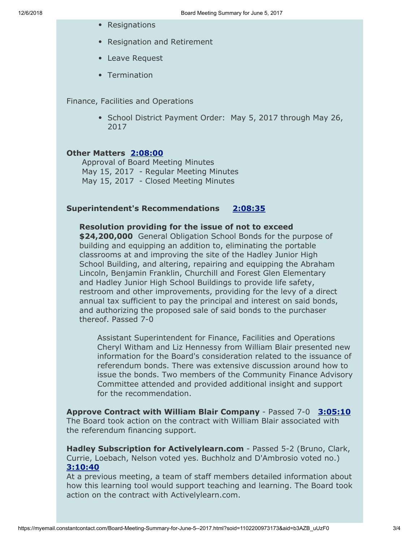- Resignations
- Resignation and Retirement
- Leave Request
- Termination

Finance, Facilities and Operations

• School District Payment Order: May 5, 2017 through May 26, 2017

#### **Other Matters [2:08:00](https://www.youtube.com/watch?v=e9m8kwV9yxM&t=2h08m00s)**

Approval of Board Meeting Minutes May 15, 2017 - Regular Meeting Minutes May 15, 2017 - Closed Meeting Minutes

#### **Superintendent's Recommendations [2:08:35](https://www.youtube.com/watch?v=e9m8kwV9yxM&t=2h08m35s)**

**Resolution providing for the issue of not to exceed \$24,200,000** General Obligation School Bonds for the purpose of building and equipping an addition to, eliminating the portable classrooms at and improving the site of the Hadley Junior High School Building, and altering, repairing and equipping the Abraham Lincoln, Benjamin Franklin, Churchill and Forest Glen Elementary and Hadley Junior High School Buildings to provide life safety, restroom and other improvements, providing for the levy of a direct annual tax sufficient to pay the principal and interest on said bonds, and authorizing the proposed sale of said bonds to the purchaser thereof. Passed 7-0

Assistant Superintendent for Finance, Facilities and Operations Cheryl Witham and Liz Hennessy from William Blair presented new information for the Board's consideration related to the issuance of referendum bonds. There was extensive discussion around how to issue the bonds. Two members of the Community Finance Advisory Committee attended and provided additional insight and support for the recommendation.

**Approve Contract with William Blair Company** - Passed 7-0 **[3:05:10](https://www.youtube.com/watch?v=e9m8kwV9yxM&t=3h05m10s)** The Board took action on the contract with William Blair associated with the referendum financing support.

**Hadley Subscription for Activelylearn.com** - Passed 5-2 (Bruno, Clark, Currie, Loebach, Nelson voted yes. Buchholz and D'Ambrosio voted no.) **[3:10:40](https://www.youtube.com/watch?v=e9m8kwV9yxM&t=3h10m40s)**

At a previous meeting, a team of staff members detailed information about how this learning tool would support teaching and learning. The Board took action on the contract with Activelylearn.com.